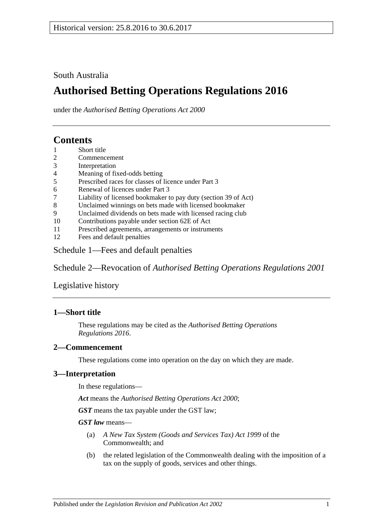South Australia

# **Authorised Betting Operations Regulations 2016**

under the *Authorised Betting Operations Act 2000*

## **Contents**

- 1 [Short title](#page-0-0)
- 2 [Commencement](#page-0-1)
- 3 [Interpretation](#page-0-2)
- 4 [Meaning of fixed-odds betting](#page-1-0)
- 5 [Prescribed races for classes of licence under Part](#page-1-1) 3
- 6 [Renewal of licences under Part](#page-2-0) 3
- 7 [Liability of licensed bookmaker to pay duty \(section](#page-2-1) 39 of Act)
- 8 [Unclaimed winnings on bets made with licensed bookmaker](#page-2-2)
- 9 [Unclaimed dividends on bets made with licensed racing club](#page-3-0)
- 10 [Contributions payable under section 62E of Act](#page-3-1)
- 11 [Prescribed agreements, arrangements or instruments](#page-4-0)
- 12 [Fees and default penalties](#page-4-1)

Schedule [1—Fees and default penalties](#page-5-0)

Schedule 2—Revocation of *[Authorised Betting Operations Regulations](#page-5-1) 2001*

[Legislative history](#page-6-0)

#### <span id="page-0-0"></span>**1—Short title**

These regulations may be cited as the *Authorised Betting Operations Regulations 2016*.

#### <span id="page-0-1"></span>**2—Commencement**

These regulations come into operation on the day on which they are made.

#### <span id="page-0-2"></span>**3—Interpretation**

In these regulations—

*Act* means the *[Authorised Betting Operations Act](http://www.legislation.sa.gov.au/index.aspx?action=legref&type=act&legtitle=Authorised%20Betting%20Operations%20Act%202000) 2000*;

*GST* means the tax payable under the GST law;

#### *GST law* means—

- (a) *A New Tax System (Goods and Services Tax) Act 1999* of the Commonwealth; and
- (b) the related legislation of the Commonwealth dealing with the imposition of a tax on the supply of goods, services and other things.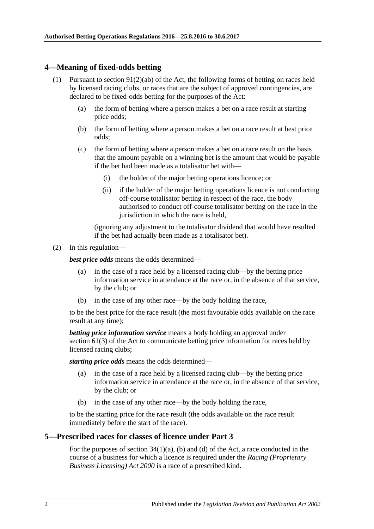#### <span id="page-1-0"></span>**4—Meaning of fixed-odds betting**

- (1) Pursuant to section  $91(2)(ab)$  of the Act, the following forms of betting on races held by licensed racing clubs, or races that are the subject of approved contingencies, are declared to be fixed-odds betting for the purposes of the Act:
	- (a) the form of betting where a person makes a bet on a race result at starting price odds;
	- (b) the form of betting where a person makes a bet on a race result at best price odds;
	- (c) the form of betting where a person makes a bet on a race result on the basis that the amount payable on a winning bet is the amount that would be payable if the bet had been made as a totalisator bet with—
		- (i) the holder of the major betting operations licence; or
		- (ii) if the holder of the major betting operations licence is not conducting off-course totalisator betting in respect of the race, the body authorised to conduct off-course totalisator betting on the race in the jurisdiction in which the race is held.

(ignoring any adjustment to the totalisator dividend that would have resulted if the bet had actually been made as a totalisator bet).

(2) In this regulation—

*best price odds* means the odds determined—

- (a) in the case of a race held by a licensed racing club—by the betting price information service in attendance at the race or, in the absence of that service, by the club; or
- (b) in the case of any other race—by the body holding the race,

to be the best price for the race result (the most favourable odds available on the race result at any time);

*betting price information service* means a body holding an approval under section 61(3) of the Act to communicate betting price information for races held by licensed racing clubs;

*starting price odds* means the odds determined—

- (a) in the case of a race held by a licensed racing club—by the betting price information service in attendance at the race or, in the absence of that service, by the club; or
- (b) in the case of any other race—by the body holding the race,

to be the starting price for the race result (the odds available on the race result immediately before the start of the race).

#### <span id="page-1-1"></span>**5—Prescribed races for classes of licence under Part 3**

For the purposes of section  $34(1)(a)$ , (b) and (d) of the Act, a race conducted in the course of a business for which a licence is required under the *[Racing \(Proprietary](http://www.legislation.sa.gov.au/index.aspx?action=legref&type=act&legtitle=Racing%20(Proprietary%20Business%20Licensing)%20Act%202000)  [Business Licensing\) Act](http://www.legislation.sa.gov.au/index.aspx?action=legref&type=act&legtitle=Racing%20(Proprietary%20Business%20Licensing)%20Act%202000) 2000* is a race of a prescribed kind.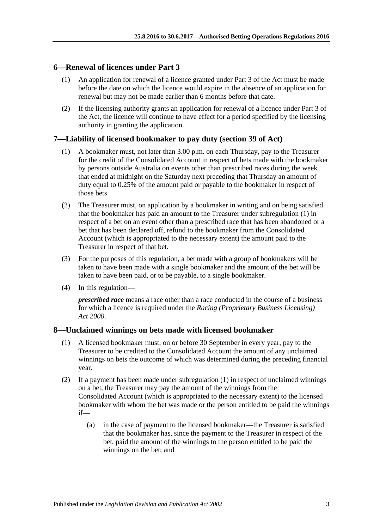#### <span id="page-2-0"></span>**6—Renewal of licences under Part 3**

- (1) An application for renewal of a licence granted under Part 3 of the Act must be made before the date on which the licence would expire in the absence of an application for renewal but may not be made earlier than 6 months before that date.
- (2) If the licensing authority grants an application for renewal of a licence under Part 3 of the Act, the licence will continue to have effect for a period specified by the licensing authority in granting the application.

#### <span id="page-2-3"></span><span id="page-2-1"></span>**7—Liability of licensed bookmaker to pay duty (section 39 of Act)**

- (1) A bookmaker must, not later than 3.00 p.m. on each Thursday, pay to the Treasurer for the credit of the Consolidated Account in respect of bets made with the bookmaker by persons outside Australia on events other than prescribed races during the week that ended at midnight on the Saturday next preceding that Thursday an amount of duty equal to 0.25% of the amount paid or payable to the bookmaker in respect of those bets.
- (2) The Treasurer must, on application by a bookmaker in writing and on being satisfied that the bookmaker has paid an amount to the Treasurer under [subregulation](#page-2-3) (1) in respect of a bet on an event other than a prescribed race that has been abandoned or a bet that has been declared off, refund to the bookmaker from the Consolidated Account (which is appropriated to the necessary extent) the amount paid to the Treasurer in respect of that bet.
- (3) For the purposes of this regulation, a bet made with a group of bookmakers will be taken to have been made with a single bookmaker and the amount of the bet will be taken to have been paid, or to be payable, to a single bookmaker.
- (4) In this regulation—

*prescribed race* means a race other than a race conducted in the course of a business for which a licence is required under the *[Racing \(Proprietary Business Licensing\)](http://www.legislation.sa.gov.au/index.aspx?action=legref&type=act&legtitle=Racing%20(Proprietary%20Business%20Licensing)%20Act%202000)  Act [2000](http://www.legislation.sa.gov.au/index.aspx?action=legref&type=act&legtitle=Racing%20(Proprietary%20Business%20Licensing)%20Act%202000)*.

#### <span id="page-2-4"></span><span id="page-2-2"></span>**8—Unclaimed winnings on bets made with licensed bookmaker**

- (1) A licensed bookmaker must, on or before 30 September in every year, pay to the Treasurer to be credited to the Consolidated Account the amount of any unclaimed winnings on bets the outcome of which was determined during the preceding financial year.
- (2) If a payment has been made under [subregulation](#page-2-4) (1) in respect of unclaimed winnings on a bet, the Treasurer may pay the amount of the winnings from the Consolidated Account (which is appropriated to the necessary extent) to the licensed bookmaker with whom the bet was made or the person entitled to be paid the winnings if—
	- (a) in the case of payment to the licensed bookmaker—the Treasurer is satisfied that the bookmaker has, since the payment to the Treasurer in respect of the bet, paid the amount of the winnings to the person entitled to be paid the winnings on the bet; and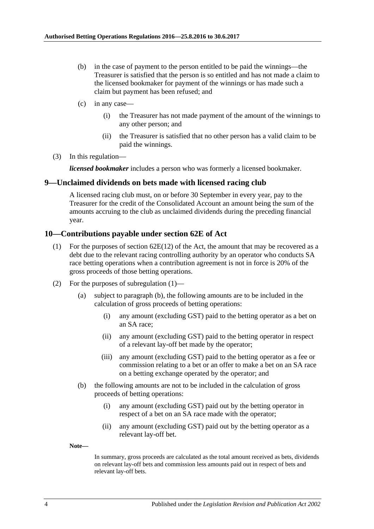- (b) in the case of payment to the person entitled to be paid the winnings—the Treasurer is satisfied that the person is so entitled and has not made a claim to the licensed bookmaker for payment of the winnings or has made such a claim but payment has been refused; and
- (c) in any case—
	- (i) the Treasurer has not made payment of the amount of the winnings to any other person; and
	- (ii) the Treasurer is satisfied that no other person has a valid claim to be paid the winnings.
- (3) In this regulation—

*licensed bookmaker* includes a person who was formerly a licensed bookmaker.

#### <span id="page-3-0"></span>**9—Unclaimed dividends on bets made with licensed racing club**

A licensed racing club must, on or before 30 September in every year, pay to the Treasurer for the credit of the Consolidated Account an amount being the sum of the amounts accruing to the club as unclaimed dividends during the preceding financial year.

#### <span id="page-3-2"></span><span id="page-3-1"></span>**10—Contributions payable under section 62E of Act**

- (1) For the purposes of section  $62E(12)$  of the Act, the amount that may be recovered as a debt due to the relevant racing controlling authority by an operator who conducts SA race betting operations when a contribution agreement is not in force is 20% of the gross proceeds of those betting operations.
- (2) For the purposes of [subregulation](#page-3-2) (1)—
	- (a) subject to [paragraph](#page-3-3) (b), the following amounts are to be included in the calculation of gross proceeds of betting operations:
		- (i) any amount (excluding GST) paid to the betting operator as a bet on an SA race;
		- (ii) any amount (excluding GST) paid to the betting operator in respect of a relevant lay-off bet made by the operator;
		- (iii) any amount (excluding GST) paid to the betting operator as a fee or commission relating to a bet or an offer to make a bet on an SA race on a betting exchange operated by the operator; and
	- (b) the following amounts are not to be included in the calculation of gross proceeds of betting operations:
		- (i) any amount (excluding GST) paid out by the betting operator in respect of a bet on an SA race made with the operator;
		- (ii) any amount (excluding GST) paid out by the betting operator as a relevant lay-off bet.

<span id="page-3-3"></span>**Note—**

In summary, gross proceeds are calculated as the total amount received as bets, dividends on relevant lay-off bets and commission less amounts paid out in respect of bets and relevant lay-off bets.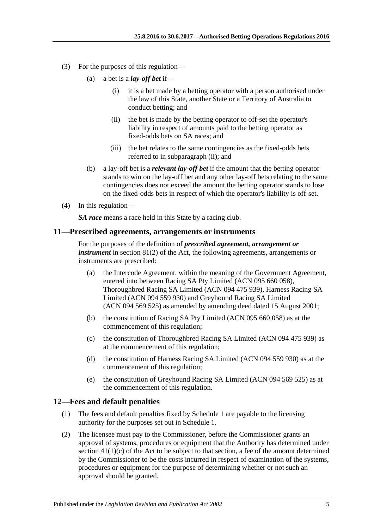- <span id="page-4-2"></span>(3) For the purposes of this regulation—
	- (a) a bet is a *lay-off bet* if—
		- (i) it is a bet made by a betting operator with a person authorised under the law of this State, another State or a Territory of Australia to conduct betting; and
		- (ii) the bet is made by the betting operator to off-set the operator's liability in respect of amounts paid to the betting operator as fixed-odds bets on SA races; and
		- (iii) the bet relates to the same contingencies as the fixed-odds bets referred to in [subparagraph](#page-4-2) (ii); and
	- (b) a lay-off bet is a *relevant lay-off bet* if the amount that the betting operator stands to win on the lay-off bet and any other lay-off bets relating to the same contingencies does not exceed the amount the betting operator stands to lose on the fixed-odds bets in respect of which the operator's liability is off-set.
- (4) In this regulation—

*SA race* means a race held in this State by a racing club.

#### <span id="page-4-0"></span>**11—Prescribed agreements, arrangements or instruments**

For the purposes of the definition of *prescribed agreement, arrangement or instrument* in section 81(2) of the Act, the following agreements, arrangements or instruments are prescribed:

- (a) the Intercode Agreement, within the meaning of the Government Agreement, entered into between Racing SA Pty Limited (ACN 095 660 058), Thoroughbred Racing SA Limited (ACN 094 475 939), Harness Racing SA Limited (ACN 094 559 930) and Greyhound Racing SA Limited (ACN 094 569 525) as amended by amending deed dated 15 August 2001;
- (b) the constitution of Racing SA Pty Limited (ACN 095 660 058) as at the commencement of this regulation;
- (c) the constitution of Thoroughbred Racing SA Limited (ACN 094 475 939) as at the commencement of this regulation;
- (d) the constitution of Harness Racing SA Limited (ACN 094 559 930) as at the commencement of this regulation;
- (e) the constitution of Greyhound Racing SA Limited (ACN 094 569 525) as at the commencement of this regulation.

#### <span id="page-4-1"></span>**12—Fees and default penalties**

- (1) The fees and default penalties fixed by [Schedule](#page-5-0) 1 are payable to the licensing authority for the purposes set out in [Schedule](#page-5-0) 1.
- <span id="page-4-3"></span>(2) The licensee must pay to the Commissioner, before the Commissioner grants an approval of systems, procedures or equipment that the Authority has determined under section  $41(1)(c)$  of the Act to be subject to that section, a fee of the amount determined by the Commissioner to be the costs incurred in respect of examination of the systems, procedures or equipment for the purpose of determining whether or not such an approval should be granted.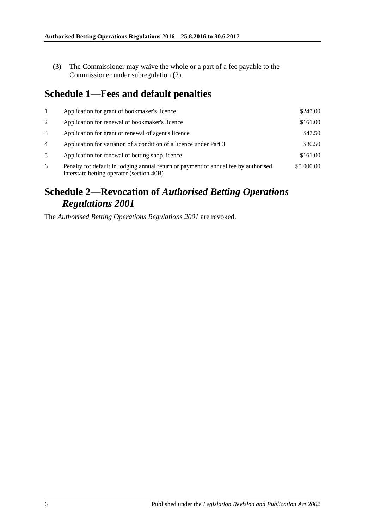(3) The Commissioner may waive the whole or a part of a fee payable to the Commissioner under [subregulation](#page-4-3) (2).

## <span id="page-5-0"></span>**Schedule 1—Fees and default penalties**

|                | Application for grant of bookmaker's licence                                                                                                   | \$247.00 |  |
|----------------|------------------------------------------------------------------------------------------------------------------------------------------------|----------|--|
| 2              | Application for renewal of bookmaker's licence                                                                                                 |          |  |
| 3              | Application for grant or renewal of agent's licence                                                                                            |          |  |
| $\overline{4}$ | Application for variation of a condition of a licence under Part 3                                                                             | \$80.50  |  |
| 5              | Application for renewal of betting shop licence                                                                                                |          |  |
| 6              | \$5 000.00<br>Penalty for default in lodging annual return or payment of annual fee by authorised<br>interstate betting operator (section 40B) |          |  |

# <span id="page-5-1"></span>**Schedule 2—Revocation of** *Authorised Betting Operations Regulations 2001*

The *[Authorised Betting Operations Regulations](http://www.legislation.sa.gov.au/index.aspx?action=legref&type=subordleg&legtitle=Authorised%20Betting%20Operations%20Regulations%202001) 2001* are revoked.